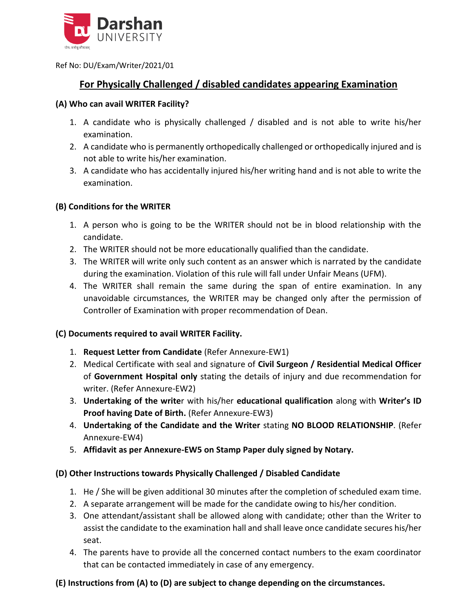

Ref No: DU/Exam/Writer/2021/01

# **For Physically Challenged / disabled candidates appearing Examination**

#### **(A) Who can avail WRITER Facility?**

- 1. A candidate who is physically challenged / disabled and is not able to write his/her examination.
- 2. A candidate who is permanently orthopedically challenged or orthopedically injured and is not able to write his/her examination.
- 3. A candidate who has accidentally injured his/her writing hand and is not able to write the examination.

## **(B) Conditions for the WRITER**

- 1. A person who is going to be the WRITER should not be in blood relationship with the candidate.
- 2. The WRITER should not be more educationally qualified than the candidate.
- 3. The WRITER will write only such content as an answer which is narrated by the candidate during the examination. Violation of this rule will fall under Unfair Means (UFM).
- 4. The WRITER shall remain the same during the span of entire examination. In any unavoidable circumstances, the WRITER may be changed only after the permission of Controller of Examination with proper recommendation of Dean.

## **(C) Documents required to avail WRITER Facility.**

- 1. **Request Letter from Candidate** (Refer Annexure-EW1)
- 2. Medical Certificate with seal and signature of **Civil Surgeon / Residential Medical Officer** of **Government Hospital only** stating the details of injury and due recommendation for writer. (Refer Annexure-EW2)
- 3. **Undertaking of the write**r with his/her **educational qualification** along with **Writer's ID Proof having Date of Birth.** (Refer Annexure-EW3)
- 4. **Undertaking of the Candidate and the Writer** stating **NO BLOOD RELATIONSHIP**. (Refer Annexure-EW4)
- 5. **Affidavit as per Annexure-EW5 on Stamp Paper duly signed by Notary.**

## **(D) Other Instructions towards Physically Challenged / Disabled Candidate**

- 1. He / She will be given additional 30 minutes after the completion of scheduled exam time.
- 2. A separate arrangement will be made for the candidate owing to his/her condition.
- 3. One attendant/assistant shall be allowed along with candidate; other than the Writer to assist the candidate to the examination hall and shall leave once candidate secures his/her seat.
- 4. The parents have to provide all the concerned contact numbers to the exam coordinator that can be contacted immediately in case of any emergency.

# **(E) Instructions from (A) to (D) are subject to change depending on the circumstances.**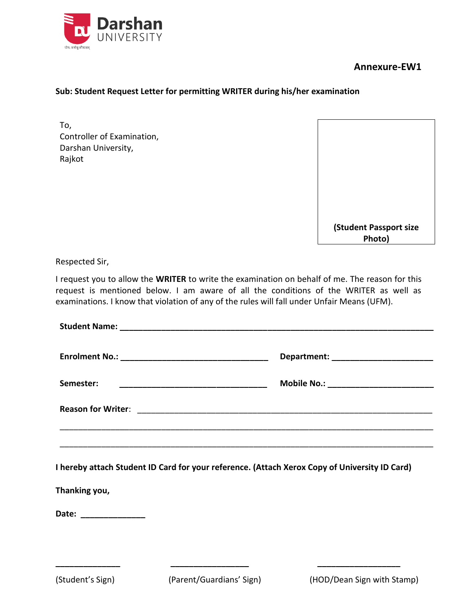

#### **Sub: Student Request Letter for permitting WRITER during his/her examination**

To, Controller of Examination, Darshan University, Rajkot



Respected Sir,

I request you to allow the **WRITER** to write the examination on behalf of me. The reason for this request is mentioned below. I am aware of all the conditions of the WRITER as well as examinations. I know that violation of any of the rules will fall under Unfair Means (UFM).

|                           | Department: _________________________  |
|---------------------------|----------------------------------------|
| Semester:                 | Mobile No.: __________________________ |
| <b>Reason for Writer:</b> |                                        |
|                           |                                        |

**I hereby attach Student ID Card for your reference. (Attach Xerox Copy of University ID Card)**

**Thanking you,**

**Date: \_\_\_\_\_\_\_\_\_\_\_\_\_\_**

**\_\_\_\_\_\_\_\_\_\_\_\_\_\_ \_\_\_\_\_\_\_\_\_\_\_\_\_\_\_\_\_ \_\_\_\_\_\_\_\_\_\_\_\_\_\_\_\_\_\_**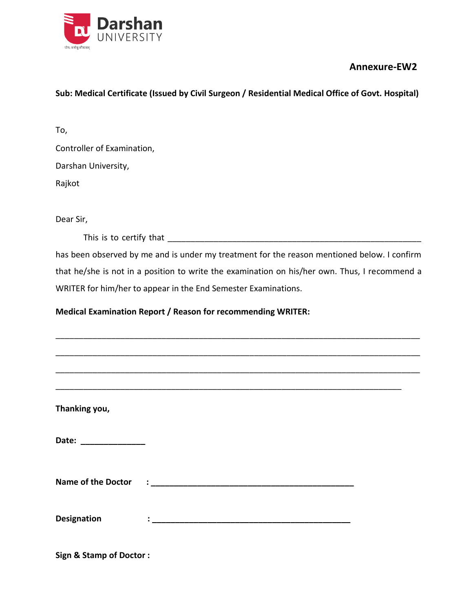

## **Sub: Medical Certificate (Issued by Civil Surgeon / Residential Medical Office of Govt. Hospital)**

To,

Controller of Examination,

Darshan University,

Rajkot

Dear Sir,

This is to certify that \_\_\_\_\_\_\_\_\_\_\_\_\_\_\_\_\_\_\_\_\_\_\_\_\_\_\_\_\_\_\_\_\_\_\_\_\_\_\_\_\_\_\_\_\_\_\_\_\_\_\_\_\_\_\_

has been observed by me and is under my treatment for the reason mentioned below. I confirm that he/she is not in a position to write the examination on his/her own. Thus, I recommend a WRITER for him/her to appear in the End Semester Examinations.

## **Medical Examination Report / Reason for recommending WRITER:**

| Thanking you,         |  |
|-----------------------|--|
| Date: _______________ |  |
|                       |  |
| <b>Designation</b>    |  |

**Sign & Stamp of Doctor :**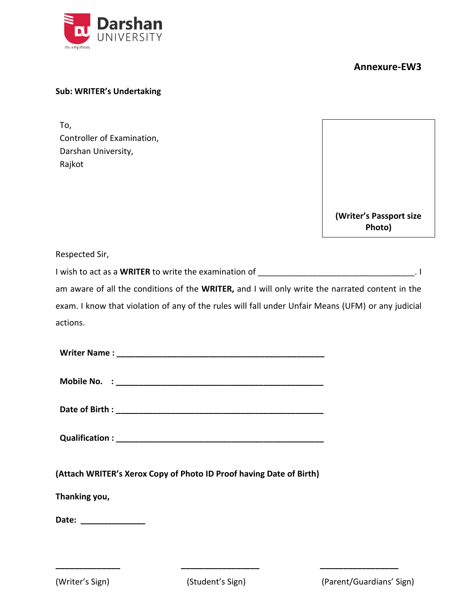

#### **Sub: WRITER's Undertaking**

To, Controller of Examination, Darshan University, Rajkot

**(Writer's Passport size Photo)**

Respected Sir,

I wish to act as a **WRITER** to write the examination of \_\_\_\_\_\_\_\_\_\_\_\_\_\_\_\_\_\_\_\_\_\_\_\_\_\_\_\_\_\_\_\_\_\_. I am aware of all the conditions of the **WRITER,** and I will only write the narrated content in the exam. I know that violation of any of the rules will fall under Unfair Means (UFM) or any judicial actions.

| (Attach WRITER's Xerox Copy of Photo ID Proof having Date of Birth) |  |
|---------------------------------------------------------------------|--|
| Thanking you,                                                       |  |
| Date: _______________                                               |  |
|                                                                     |  |
|                                                                     |  |

**\_\_\_\_\_\_\_\_\_\_\_\_\_\_ \_\_\_\_\_\_\_\_\_\_\_\_\_\_\_\_\_ \_\_\_\_\_\_\_\_\_\_\_\_\_\_\_\_\_**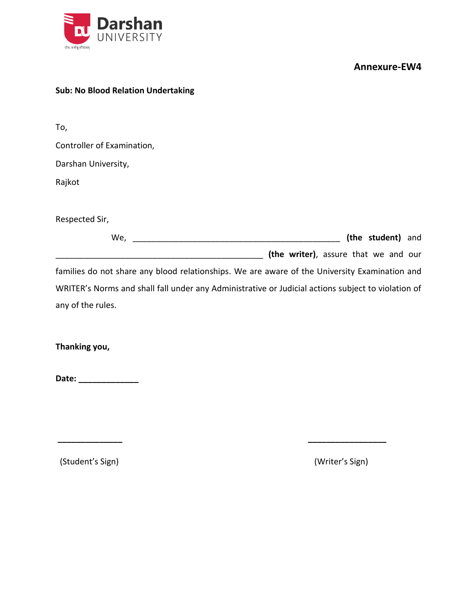



To,

Controller of Examination,

Darshan University,

Rajkot

Respected Sir,

| (the student) and<br>We,                                                                           |  |
|----------------------------------------------------------------------------------------------------|--|
| (the writer), assure that we and our                                                               |  |
| families do not share any blood relationships. We are aware of the University Examination and      |  |
| WRITER's Norms and shall fall under any Administrative or Judicial actions subject to violation of |  |

**\_\_\_\_\_\_\_\_\_\_\_\_\_\_ \_\_\_\_\_\_\_\_\_\_\_\_\_\_\_\_\_**

any of the rules.

**Thanking you,**

**Date: \_\_\_\_\_\_\_\_\_\_\_\_\_**

(Student's Sign) (Writer's Sign)